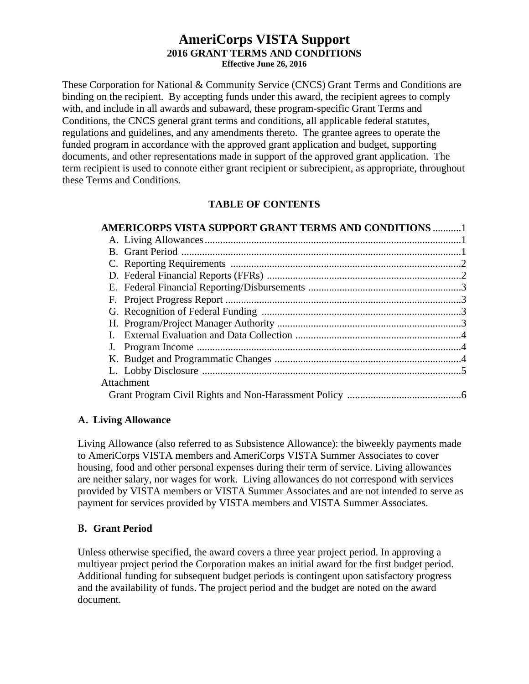#### **AmeriCorps VISTA Support 2016 GRANT TERMS AND CONDITIONS Effective June 26, 2016**

These Corporation for National & Community Service (CNCS) Grant Terms and Conditions are binding on the recipient. By accepting funds under this award, the recipient agrees to comply with, and include in all awards and subaward, these program-specific Grant Terms and Conditions, the CNCS general grant terms and conditions, all applicable federal statutes, regulations and guidelines, and any amendments thereto. The grantee agrees to operate the funded program in accordance with the approved grant application and budget, supporting documents, and other representations made in support of the approved grant application. The term recipient is used to connote either grant recipient or subrecipient, as appropriate, throughout these Terms and Conditions.

# **TABLE OF CONTENTS**

| <b>AMERICORPS VISTA SUPPORT GRANT TERMS AND CONDITIONS 1</b> |
|--------------------------------------------------------------|
|                                                              |
|                                                              |
|                                                              |
|                                                              |
|                                                              |
|                                                              |
|                                                              |
|                                                              |
|                                                              |
|                                                              |
|                                                              |
|                                                              |
| Attachment                                                   |
|                                                              |

## **A. Living Allowance**

Living Allowance (also referred to as Subsistence Allowance): the biweekly payments made to AmeriCorps VISTA members and AmeriCorps VISTA Summer Associates to cover housing, food and other personal expenses during their term of service. Living allowances are neither salary, nor wages for work. Living allowances do not correspond with services provided by VISTA members or VISTA Summer Associates and are not intended to serve as payment for services provided by VISTA members and VISTA Summer Associates.

## **B. Grant Period**

Unless otherwise specified, the award covers a three year project period. In approving a multiyear project period the Corporation makes an initial award for the first budget period. Additional funding for subsequent budget periods is contingent upon satisfactory progress and the availability of funds. The project period and the budget are noted on the award document.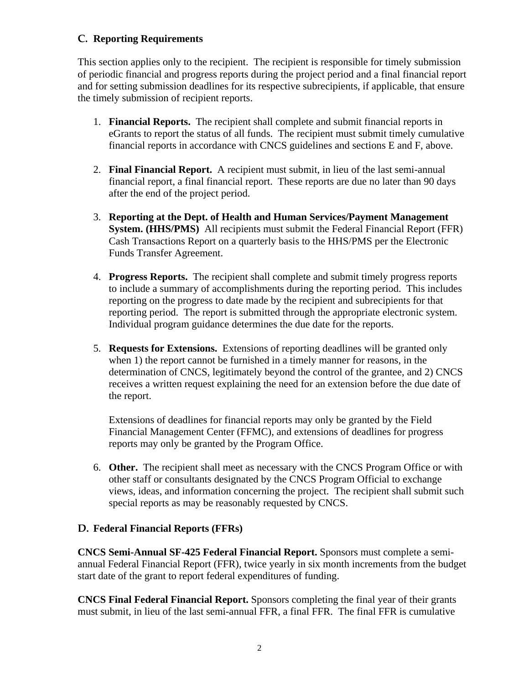## **C. Reporting Requirements**

This section applies only to the recipient. The recipient is responsible for timely submission of periodic financial and progress reports during the project period and a final financial report and for setting submission deadlines for its respective subrecipients, if applicable, that ensure the timely submission of recipient reports.

- 1. **Financial Reports.** The recipient shall complete and submit financial reports in eGrants to report the status of all funds. The recipient must submit timely cumulative financial reports in accordance with CNCS guidelines and sections E and F, above.
- 2. **Final Financial Report.** A recipient must submit, in lieu of the last semi-annual financial report, a final financial report. These reports are due no later than 90 days after the end of the project period.
- 3. **Reporting at the Dept. of Health and Human Services/Payment Management System. (HHS/PMS)** All recipients must submit the Federal Financial Report (FFR) Cash Transactions Report on a quarterly basis to the HHS/PMS per the Electronic Funds Transfer Agreement.
- 4. **Progress Reports.** The recipient shall complete and submit timely progress reports to include a summary of accomplishments during the reporting period. This includes reporting on the progress to date made by the recipient and subrecipients for that reporting period. The report is submitted through the appropriate electronic system. Individual program guidance determines the due date for the reports.
- 5. **Requests for Extensions.** Extensions of reporting deadlines will be granted only when 1) the report cannot be furnished in a timely manner for reasons, in the determination of CNCS, legitimately beyond the control of the grantee, and 2) CNCS receives a written request explaining the need for an extension before the due date of the report.

 Extensions of deadlines for financial reports may only be granted by the Field Financial Management Center (FFMC), and extensions of deadlines for progress reports may only be granted by the Program Office.

6. **Other.** The recipient shall meet as necessary with the CNCS Program Office or with other staff or consultants designated by the CNCS Program Official to exchange views, ideas, and information concerning the project. The recipient shall submit such special reports as may be reasonably requested by CNCS.

## **D. Federal Financial Reports (FFRs)**

**CNCS Semi-Annual SF-425 Federal Financial Report.** Sponsors must complete a semiannual Federal Financial Report (FFR), twice yearly in six month increments from the budget start date of the grant to report federal expenditures of funding.

**CNCS Final Federal Financial Report.** Sponsors completing the final year of their grants must submit, in lieu of the last semi-annual FFR, a final FFR. The final FFR is cumulative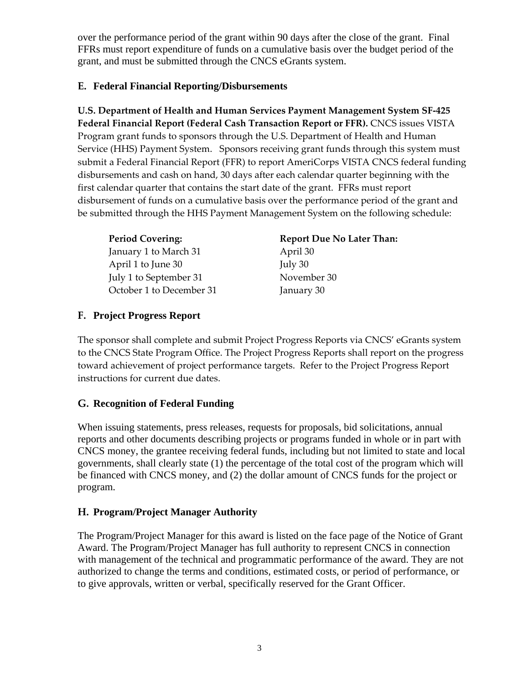over the performance period of the grant within 90 days after the close of the grant. Final FFRs must report expenditure of funds on a cumulative basis over the budget period of the grant, and must be submitted through the CNCS eGrants system.

## **E. Federal Financial Reporting/Disbursements**

**U.S. Department of Health and Human Services Payment Management System SF‐425 Federal Financial Report (Federal Cash Transaction Report or FFR).** CNCS issues VISTA Program grant funds to sponsors through the U.S. Department of Health and Human Service (HHS) Payment System. Sponsors receiving grant funds through this system must submit a Federal Financial Report (FFR) to report AmeriCorps VISTA CNCS federal funding disbursements and cash on hand, 30 days after each calendar quarter beginning with the first calendar quarter that contains the start date of the grant. FFRs must report disbursement of funds on a cumulative basis over the performance period of the grant and be submitted through the HHS Payment Management System on the following schedule:

| <b>Period Covering:</b>  | <b>Report Due No Later Than:</b> |
|--------------------------|----------------------------------|
| January 1 to March 31    | April 30                         |
| April 1 to June 30       | July $30$                        |
| July 1 to September 31   | November 30                      |
| October 1 to December 31 | January 30                       |

# **F. Project Progress Report**

The sponsor shall complete and submit Project Progress Reports via CNCS' eGrants system to the CNCS State Program Office. The Project Progress Reports shall report on the progress toward achievement of project performance targets. Refer to the Project Progress Report instructions for current due dates.

# **G. Recognition of Federal Funding**

When issuing statements, press releases, requests for proposals, bid solicitations, annual reports and other documents describing projects or programs funded in whole or in part with CNCS money, the grantee receiving federal funds, including but not limited to state and local governments, shall clearly state (1) the percentage of the total cost of the program which will be financed with CNCS money, and (2) the dollar amount of CNCS funds for the project or program.

## **H. Program/Project Manager Authority**

The Program/Project Manager for this award is listed on the face page of the Notice of Grant Award. The Program/Project Manager has full authority to represent CNCS in connection with management of the technical and programmatic performance of the award. They are not authorized to change the terms and conditions, estimated costs, or period of performance, or to give approvals, written or verbal, specifically reserved for the Grant Officer.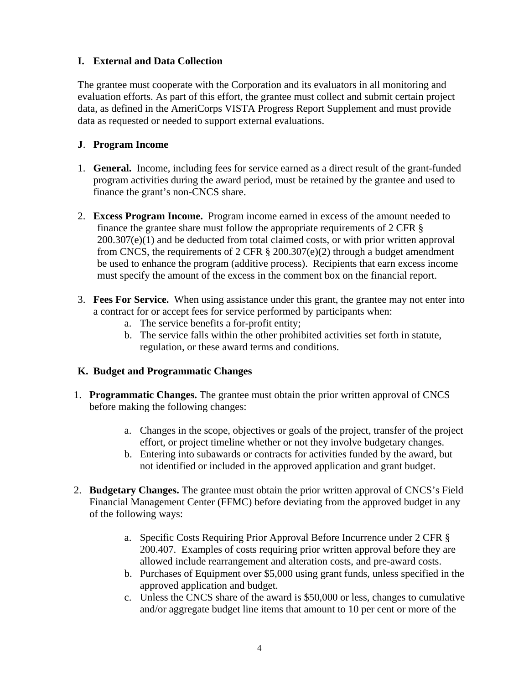# **I. External and Data Collection**

The grantee must cooperate with the Corporation and its evaluators in all monitoring and evaluation efforts. As part of this effort, the grantee must collect and submit certain project data, as defined in the AmeriCorps VISTA Progress Report Supplement and must provide data as requested or needed to support external evaluations.

## **J**. **Program Income**

- 1. **General.** Income, including fees for service earned as a direct result of the grant-funded program activities during the award period, must be retained by the grantee and used to finance the grant's non-CNCS share.
- 2. **Excess Program Income.** Program income earned in excess of the amount needed to finance the grantee share must follow the appropriate requirements of 2 CFR §  $200.307(e)(1)$  and be deducted from total claimed costs, or with prior written approval from CNCS, the requirements of 2 CFR  $\S$  200.307(e)(2) through a budget amendment be used to enhance the program (additive process). Recipients that earn excess income must specify the amount of the excess in the comment box on the financial report.
- 3. **Fees For Service.** When using assistance under this grant, the grantee may not enter into a contract for or accept fees for service performed by participants when:
	- a. The service benefits a for-profit entity;
	- b. The service falls within the other prohibited activities set forth in statute, regulation, or these award terms and conditions.

## **K. Budget and Programmatic Changes**

- 1. **Programmatic Changes.** The grantee must obtain the prior written approval of CNCS before making the following changes:
	- a. Changes in the scope, objectives or goals of the project, transfer of the project effort, or project timeline whether or not they involve budgetary changes.
	- b. Entering into subawards or contracts for activities funded by the award, but not identified or included in the approved application and grant budget.
- 2. **Budgetary Changes.** The grantee must obtain the prior written approval of CNCS's Field Financial Management Center (FFMC) before deviating from the approved budget in any of the following ways:
	- a. Specific Costs Requiring Prior Approval Before Incurrence under 2 CFR § 200.407. Examples of costs requiring prior written approval before they are allowed include rearrangement and alteration costs, and pre-award costs.
	- b. Purchases of Equipment over \$5,000 using grant funds, unless specified in the approved application and budget.
	- c. Unless the CNCS share of the award is \$50,000 or less, changes to cumulative and/or aggregate budget line items that amount to 10 per cent or more of the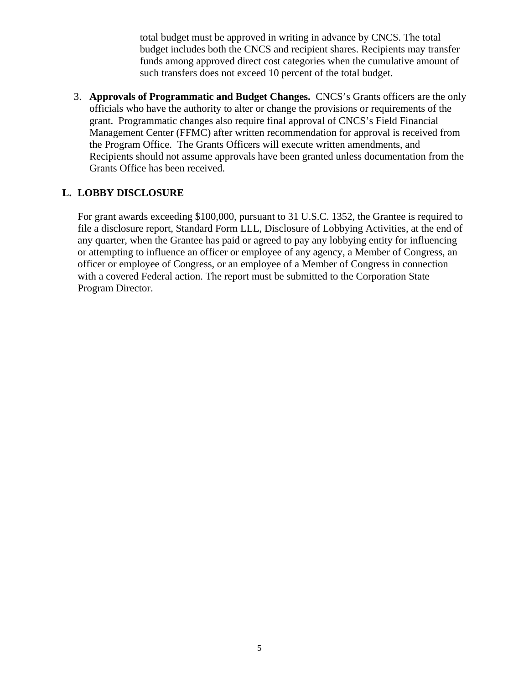total budget must be approved in writing in advance by CNCS. The total budget includes both the CNCS and recipient shares. Recipients may transfer funds among approved direct cost categories when the cumulative amount of such transfers does not exceed 10 percent of the total budget.

3. **Approvals of Programmatic and Budget Changes.** CNCS's Grants officers are the only officials who have the authority to alter or change the provisions or requirements of the grant. Programmatic changes also require final approval of CNCS's Field Financial Management Center (FFMC) after written recommendation for approval is received from the Program Office. The Grants Officers will execute written amendments, and Recipients should not assume approvals have been granted unless documentation from the Grants Office has been received.

#### **L. LOBBY DISCLOSURE**

For grant awards exceeding \$100,000, pursuant to 31 U.S.C. 1352, the Grantee is required to file a disclosure report, Standard Form LLL, Disclosure of Lobbying Activities, at the end of any quarter, when the Grantee has paid or agreed to pay any lobbying entity for influencing or attempting to influence an officer or employee of any agency, a Member of Congress, an officer or employee of Congress, or an employee of a Member of Congress in connection with a covered Federal action. The report must be submitted to the Corporation State Program Director.